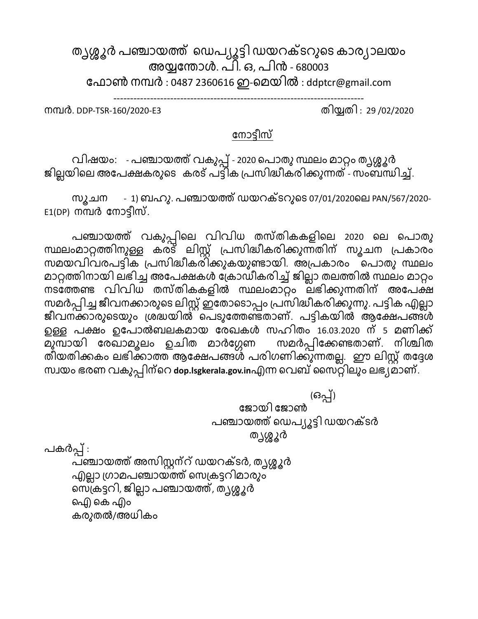തൃശ്ശൂർ പഞ്ചായത്ത് ഡെപ്യൂട്ടി ഡയറക്ടറുടെ കാര്യാലയം അയ്യന്തോൾ. പി. ഒ, പിൻ - 680003 ഫോൺ നമ്പർ : 0487 2360616 ഇ-മെയിൽ : [ddptcr@gmail.com](mailto:ddptcr@gmail.com)

---------------------------------------------------------------------------

നമ്പര്. DDP-TSR-160/2020-E3 തിയ്യതി : 29 /02/2020

## ന്നാട്ടീസ്

വിഷയം: - പഞ്ചായത്ത് വകുപ്പ് - 2020 ഡപാതുസ്ഥലം ൊറ്റം തൃശ്ശൂര് ജില്ലയിലെ അപേക്ഷകരുടെ കരട് പട്ടിക പ്രസിദ്ധീകരിക്കുന്നത് - സംബന്ധിച്ച്.

സൂചന - 1) ബഹു. പഞ്ചായത്ത് ഡയറക്ടറുടെ 07/01/2020ലെ PAN/567/2020- $E1(DP)$  നമ്പർ നോട്ടീസ്.

പഞ്ചായത്ത് വകുപ്പിലെ വിവിധ തസ്തികകളിലെ 2020 ലെ പൊതു സ്ഥലംൊറ്റത്തിനുള്ള കര്ട് ലിസ്റ്റ് പ്പസിദ്ധീകര്ിക്കുന്നതിന് സൂചന പ്പകാര്ം സെയവിവര്പട്ടിക പ്പസിദ്ധീകര്ിക്കുകയുണ്ടായി. അപ്പകാര്ം ഡപാതു സ്ഥലം മാറ്റത്തിനായി ലഭിച്ച അപേക്ഷകൾ ക്രോഡീകരിച്ച് ജില്ലാ തലത്തിൽ സ്ഥലം മാറ്റം നടന്ത്തണ്ട വിവിധ തസ്തികകളില് സ്ഥലംൊറ്റം ലഭിക്കുന്നതിന് അന്പക്ഷ സമർപ്പിച്ച ജീവനക്കാരുടെ ലിസ്റ്റ് ഇതോടൊപ്പം പ്രസിദ്ധീകരിക്കുന്നു. പട്ടിക എല്ലാ ജീവനക്കാരുടെയും ശ്രദ്ധയിൽ പെടുത്തേണ്ടതാണ്. പട്ടികയിൽ ആക്ഷേപങ്ങൾ ഉള്ള പക്ഷം ഉപോൽബലകമായ രേഖകൾ സഹിതം 16.03.2020 ന് 5 മണിക്ക്<br>മുമ്പായി രേഖാമൂലം ഉചിത മാർഗ്ഗേണ സമർപ്പിക്കേണ്ടതാണ്. നിശ്ചിത <del>പ്പ</del>ായി രേഖാമൂലം ഉചിത മാർഗ്ഗേണ തീയതിക്കകം ലഭിക്കാത്ത ആക്ഷേപങ്ങൾ പരിഗണിക്കുന്നതല്ല. ഈ ലിസ്റ്റ് തദ്ദേശ സ്വയം ഭരണ വകുപ്പിന്റെ dop.lsgkerala.gov.inഎന്ന വെബ് സൈറ്റിലും ലഭ്യമാണ്.

 (ഒപ്പ്) ന്ജായി ന്ജാണ് പഞ്ചായത്ത് ഡെപ്യൂട്ടി ഡയറക്ടർ തൃശ്ശൂര് പകര്പ്പ് : പഞ്ചായത്ത് അസിസ്റ്റന്റ് ഡയറക്ടർ, തൃശ്ശൂർ എല്ലാ ഗ്രാമപഞ്ചായത്ത് സെക്രട്ടറിമാരും ഡസപ്കട്ടറി, ജിലലാ പഞ്ചായത്ത്, തൃശ്ശൂര് ഐ) കെ എം കര്ുതല്/അധികം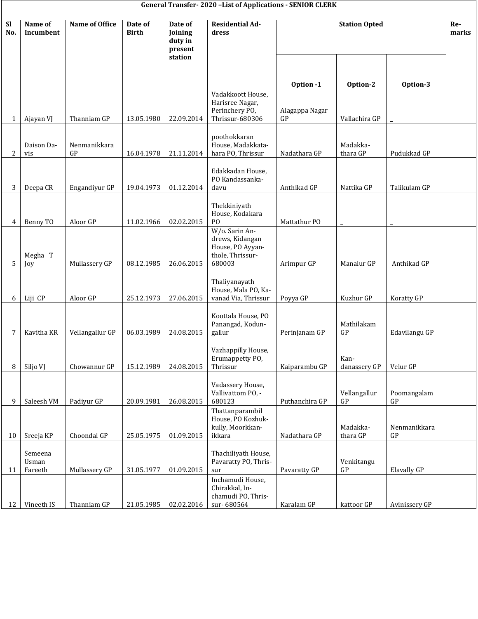## **General Transfer- 2020 –List of Applications - SENIOR CLERK**

| <b>SI</b><br>No. | Name of<br>Incumbent        | <b>Name of Office</b> | Date of<br><b>Birth</b> | Date of<br>Joining            | <b>Residential Ad-</b><br>dress                                                     | <b>Station Opted</b> |                               |                                         | Re-<br>marks |
|------------------|-----------------------------|-----------------------|-------------------------|-------------------------------|-------------------------------------------------------------------------------------|----------------------|-------------------------------|-----------------------------------------|--------------|
|                  |                             |                       |                         | duty in<br>present<br>station |                                                                                     |                      |                               |                                         |              |
|                  |                             |                       |                         |                               |                                                                                     | Option -1            | Option-2                      | Option-3                                |              |
| 1                | Ajayan VJ                   | Thanniam GP           | 13.05.1980              | 22.09.2014                    | Vadakkoott House,<br>Harisree Nagar,<br>Perinchery PO,<br>Thrissur-680306           | Alagappa Nagar<br>GP | Vallachira GP                 |                                         |              |
| $\overline{2}$   | Daison Da-<br>vis           | Nenmanikkara<br>GP    | 16.04.1978              | 21.11.2014                    | poothokkaran<br>House, Madakkata-<br>hara PO, Thrissur                              | Nadathara GP         | Madakka-<br>thara GP          | Pudukkad GP                             |              |
| 3                | Deepa CR                    | Engandiyur GP         | 19.04.1973              | 01.12.2014                    | Edakkadan House,<br>PO Kandassanka-<br>davu                                         | Anthikad GP          | Nattika GP                    | Talikulam GP                            |              |
| 4                | Benny TO                    | Aloor GP              | 11.02.1966              | 02.02.2015                    | Thekkiniyath<br>House, Kodakara<br>P <sub>O</sub>                                   | Mattathur PO         |                               |                                         |              |
| 5                | Megha T<br>Joy              | Mullassery GP         | 08.12.1985              | 26.06.2015                    | W/o. Sarin An-<br>drews, Kidangan<br>House, PO Ayyan-<br>thole, Thrissur-<br>680003 | Arimpur GP           | Manalur GP                    | Anthikad GP                             |              |
| 6                | Liji CP                     | Aloor GP              | 25.12.1973              | 27.06.2015                    | Thaliyanayath<br>House, Mala PO, Ka-<br>vanad Via, Thrissur                         | Poyya GP             | Kuzhur GP                     | Koratty GP                              |              |
| 7                | Kavitha KR                  | Vellangallur GP       | 06.03.1989              | 24.08.2015                    | Koottala House, PO<br>Panangad, Kodun-<br>gallur                                    | Perinjanam GP        | Mathilakam<br>GP              | Edavilangu GP                           |              |
| 8                | Siljo VJ                    | Chowannur GP          | 15.12.1989              | 24.08.2015                    | Vazhappilly House,<br>Erumappetty PO,<br>Thrissur                                   | Kaiparambu GP        | Kan-<br>danassery GP          | Velur GP                                |              |
| 9                | Saleesh VM                  | Padiyur GP            | 20.09.1981              | 26.08.2015                    | Vadassery House,<br>Vallivattom PO, -<br>680123                                     | Puthanchira GP       | Vellangallur<br>$\mathsf{GP}$ | Poomangalam<br>${\mathbb G}{\mathbb P}$ |              |
| 10               | Sreeja KP                   | Choondal GP           | 25.05.1975              | 01.09.2015                    | Thattanparambil<br>House, PO Kozhuk-<br>kully, Moorkkan-<br>ikkara                  | Nadathara GP         | Madakka-<br>thara GP          | Nenmanikkara<br>GP                      |              |
| 11               | Semeena<br>Usman<br>Fareeth | Mullassery GP         | 31.05.1977              | 01.09.2015                    | Thachiliyath House,<br>Pavaratty PO, Thris-<br>sur                                  | Pavaratty GP         | Venkitangu<br>GP              | Elavally GP                             |              |
| 12               | Vineeth IS                  | Thanniam GP           | 21.05.1985              | 02.02.2016                    | Inchamudi House,<br>Chirakkal, In-<br>chamudi PO, Thris-<br>sur-680564              | Karalam GP           | kattoor GP                    | Avinissery GP                           |              |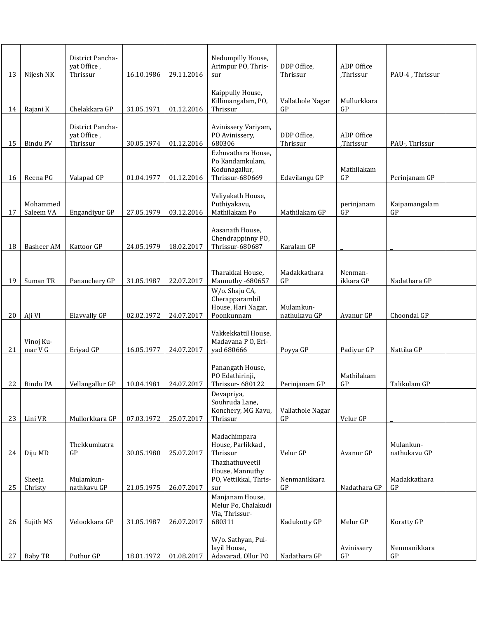|    |                   | District Pancha-         |            |            | Nedumpilly House,                         |                           |                         |                    |  |
|----|-------------------|--------------------------|------------|------------|-------------------------------------------|---------------------------|-------------------------|--------------------|--|
|    |                   | yat Office,              |            |            | Arimpur PO, Thris-                        | DDP Office,               | ADP Office              |                    |  |
| 13 | Nijesh NK         | Thrissur                 | 16.10.1986 | 29.11.2016 | sur                                       | Thrissur                  | ,Thrissur               | PAU-4, Thrissur    |  |
|    |                   |                          |            |            | Kaippully House,                          |                           |                         |                    |  |
| 14 | Rajani K          | Chelakkara GP            | 31.05.1971 | 01.12.2016 | Killimangalam, PO,<br>Thrissur            | Vallathole Nagar<br>GP    | Mullurkkara<br>GP       |                    |  |
|    |                   |                          |            |            |                                           |                           |                         |                    |  |
|    |                   | District Pancha-         |            |            | Avinissery Variyam,                       |                           |                         |                    |  |
| 15 | Bindu PV          | yat Office,<br>Thrissur  | 30.05.1974 | 01.12.2016 | PO Avinissery,<br>680306                  | DDP Office,<br>Thrissur   | ADP Office<br>,Thrissur | PAU-, Thrissur     |  |
|    |                   |                          |            |            | Ezhuvathara House,                        |                           |                         |                    |  |
|    |                   |                          |            |            | Po Kandamkulam,<br>Kodunagallur,          |                           | Mathilakam              |                    |  |
| 16 | Reena PG          | Valapad GP               | 01.04.1977 | 01.12.2016 | Thrissur-680669                           | Edavilangu GP             | GP                      | Perinjanam GP      |  |
|    |                   |                          |            |            |                                           |                           |                         |                    |  |
|    | Mohammed          |                          |            |            | Valiyakath House,<br>Puthiyakavu,         |                           | perinjanam              | Kaipamangalam      |  |
| 17 | Saleem VA         | Engandiyur GP            | 27.05.1979 | 03.12.2016 | Mathilakam Po                             | Mathilakam GP             | GP                      | GP                 |  |
|    |                   |                          |            |            | Aasanath House,                           |                           |                         |                    |  |
|    |                   |                          |            |            | Chendrappinny PO,                         |                           |                         |                    |  |
| 18 | Basheer AM        | Kattoor GP               | 24.05.1979 | 18.02.2017 | Thrissur-680687                           | Karalam GP                |                         |                    |  |
|    |                   |                          |            |            |                                           |                           |                         |                    |  |
|    |                   |                          |            |            | Tharakkal House,                          | Madakkathara              | Nenman-                 |                    |  |
| 19 | Suman TR          | Pananchery GP            | 31.05.1987 | 22.07.2017 | Mannuthy -680657<br>W/o. Shaju CA,        | GP                        | ikkara GP               | Nadathara GP       |  |
|    |                   |                          |            |            | Cherapparambil                            |                           |                         |                    |  |
| 20 | Aji VI            | Elavvally GP             | 02.02.1972 | 24.07.2017 | House, Hari Nagar,<br>Poonkunnam          | Mulamkun-<br>nathukavu GP | Avanur GP               | Choondal GP        |  |
|    |                   |                          |            |            |                                           |                           |                         |                    |  |
|    | Vinoj Ku-         |                          |            |            | Vakkekkattil House,<br>Madavana P O, Eri- |                           |                         |                    |  |
| 21 | mar V G           | Eriyad GP                | 16.05.1977 | 24.07.2017 | yad 680666                                | Poyya GP                  | Padiyur GP              | Nattika GP         |  |
|    |                   |                          |            |            |                                           |                           |                         |                    |  |
|    |                   |                          |            |            | Panangath House,<br>PO Edathirinji,       |                           | Mathilakam              |                    |  |
| 22 | Bindu PA          | Vellangallur GP          | 10.04.1981 | 24.07.2017 | Thrissur-680122                           | Perinjanam GP             | GP                      | Talikulam GP       |  |
|    |                   |                          |            |            | Devapriya,<br>Souhruda Lane,              |                           |                         |                    |  |
|    |                   |                          |            |            | Konchery, MG Kavu,                        | Vallathole Nagar          |                         |                    |  |
| 23 | Lini VR           | Mullorkkara GP           | 07.03.1972 | 25.07.2017 | Thrissur                                  | GP                        | Velur GP                |                    |  |
|    |                   |                          |            |            | Madachimpara                              |                           |                         |                    |  |
|    |                   | Thekkumkatra             |            |            | House, Parlikkad,                         |                           |                         | Mulankun-          |  |
| 24 | Diju MD           | GP                       | 30.05.1980 | 25.07.2017 | Thrissur<br>Thazhathuveetil               | Velur GP                  | Avanur GP               | nathukavu GP       |  |
|    |                   |                          |            |            | House, Mannuthy                           |                           |                         |                    |  |
| 25 | Sheeja<br>Christy | Mulamkun-<br>nathkavu GP | 21.05.1975 | 26.07.2017 | PO, Vettikkal, Thris-<br>sur              | Nenmanikkara<br>GP        | Nadathara GP            | Madakkathara<br>GP |  |
|    |                   |                          |            |            | Manjanam House,                           |                           |                         |                    |  |
|    |                   |                          |            |            | Melur Po, Chalakudi                       |                           |                         |                    |  |
| 26 | Sujith MS         | Velookkara GP            | 31.05.1987 | 26.07.2017 | Via, Thrissur-<br>680311                  | Kadukutty GP              | Melur GP                | Koratty GP         |  |
|    |                   |                          |            |            |                                           |                           |                         |                    |  |
|    |                   |                          |            |            | W/o. Sathyan, Pul-<br>layil House,        |                           | Avinissery              | Nenmanikkara       |  |
| 27 | <b>Baby TR</b>    | Puthur GP                | 18.01.1972 | 01.08.2017 | Adavarad, Ollur PO                        | Nadathara GP              | GP                      | GP                 |  |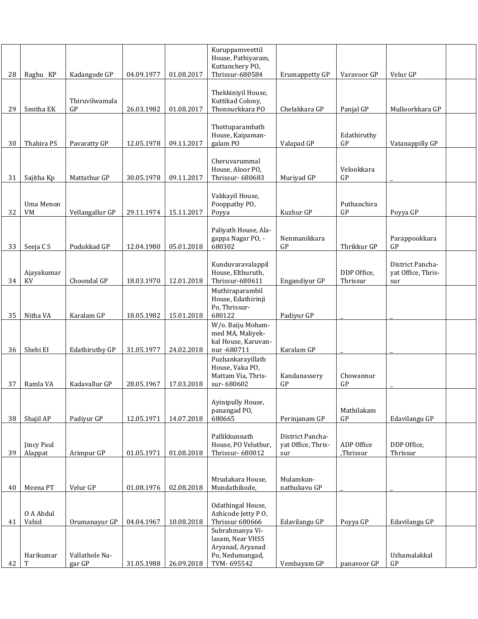| 28 | Raghu KP              | Kadangode GP         | 04.09.1977 | 01.08.2017 | Kuruppamveettil<br>House, Pathiyaram,<br>Kuttanchery PO,<br>Thrissur-680584 | Erumappetty GP                                | Varavoor GP                  | Velur GP                                      |  |
|----|-----------------------|----------------------|------------|------------|-----------------------------------------------------------------------------|-----------------------------------------------|------------------------------|-----------------------------------------------|--|
| 29 | Smitha EK             | Thiruvilwamala<br>GP | 26.03.1982 | 01.08.2017 | Thekkiniyil House,<br>Kuttikad Colony,<br>Thonnurkkara PO                   | Chelakkara GP                                 | Panjal GP                    | Mulloorkkara GP                               |  |
| 30 | Thahira PS            | Pavaratty GP         | 12.05.1978 | 09.11.2017 | Thottuparambath<br>House, Kaipaman-<br>galam PO                             | Valapad GP                                    | Edathiruthy<br>$\mathsf{GP}$ | Vatanappilly GP                               |  |
| 31 | Sajitha Kp            | Mattathur GP         | 30.05.1978 | 09.11.2017 | Cheruvarummal<br>House, Aloor PO,<br>Thrissur-680683                        | Muriyad GP                                    | Velookkara<br>GP             |                                               |  |
| 32 | Uma Menon<br>VM       | Vellangallur GP      | 29.11.1974 | 15.11.2017 | Vakkayil House,<br>Pooppathy PO,<br>Poyya                                   | Kuzhur GP                                     | Puthanchira<br>GP            | Poyya GP                                      |  |
| 33 | Seeja C S             | Pudukkad GP          | 12.04.1980 | 05.01.2018 | Paliyath House, Ala-<br>gappa Nagar PO, -<br>680302                         | Nenmanikkara<br>GP                            | Thrikkur GP                  | Parappookkara<br>GP                           |  |
| 34 | Ajayakumar<br>KV      | Choondal GP          | 18.03.1970 | 12.01.2018 | Kunduvaravalappil<br>House, Elthuruth,<br>Thrissur-680611                   | Engandiyur GP                                 | DDP Office,<br>Thrissur      | District Pancha-<br>yat Office, Thris-<br>sur |  |
| 35 | Nitha VA              | Karalam GP           | 18.05.1982 | 15.01.2018 | Muthiraparambil<br>House, Edathirinji<br>Po, Thrissur-<br>680122            | Padiyur GP                                    |                              |                                               |  |
| 36 | Shebi EI              | Edathiruthy GP       | 31.05.1977 | 24.02.2018 | W/o. Baiju Moham-<br>med MA, Maliyek-<br>kal House, Karuvan-<br>nur -680711 | Karalam GP                                    |                              |                                               |  |
| 37 | Ramla VA              | Kadavallur GP        | 28.05.1967 | 17.03.2018 | Puzhankarayillath<br>House, Vaka PO,<br>Mattam Via, Thris-<br>sur-680602    | Kandanassery<br>GP                            | Chowannur<br>GP              |                                               |  |
| 38 | Shajil AP             | Padiyur GP           | 12.05.1971 | 14.07.2018 | Ayinipully House,<br>panangad PO,<br>680665                                 | Perinjanam GP                                 | Mathilakam<br>GP             | Edavilangu GP                                 |  |
| 39 | Jincy Paul<br>Alappat | Arimpur GP           | 01.05.1971 | 01.08.2018 | Pallikkunnath<br>House, PO Veluthur,<br>Thrissur-680012                     | District Pancha-<br>yat Office, Thris-<br>sur | ADP Office<br>,Thrissur      | DDP Office,<br>Thrissur                       |  |
| 40 | Meena PT              | Velur GP             | 01.08.1976 | 02.08.2018 | Mrudakara House,<br>Mundathikode,                                           | Mulamkun-<br>nathukavu GP                     |                              |                                               |  |
| 41 | O A Abdul<br>Vahid    | Orumanayur GP        | 04.04.1967 | 10.08.2018 | Odathingal House,<br>Azhicode Jetty PO,<br>Thrissur 680666                  | Edavilangu GP                                 | Poyya GP                     | Edavilangu GP                                 |  |
|    | Harikumar             | Vallathole Na-       |            |            | Subrahmanya Vi-<br>lasam, Near VHSS<br>Aryanad, Aryanad<br>Po, Nedumangad,  |                                               |                              | Uzhamalakkal                                  |  |
| 42 | T                     | gar GP               | 31.05.1988 | 26.09.2018 | TVM-695542                                                                  | Vembayam GP                                   | panavoor GP                  | GP                                            |  |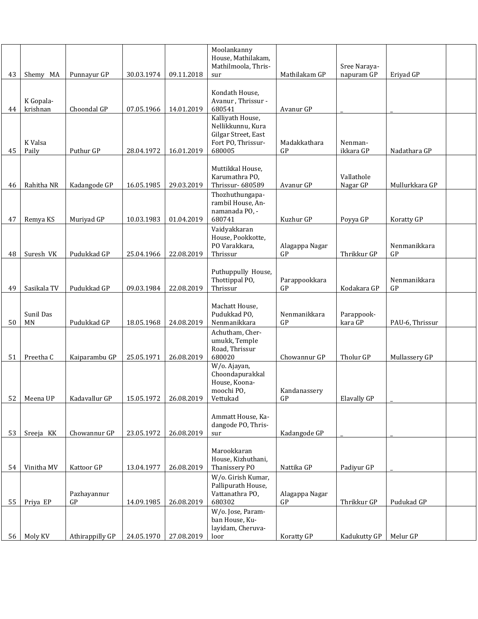|                 |                       |                   |            |            | Moolankanny<br>House, Mathilakam,<br>Mathilmoola, Thris-                                     |                      | Sree Naraya-           |                    |  |
|-----------------|-----------------------|-------------------|------------|------------|----------------------------------------------------------------------------------------------|----------------------|------------------------|--------------------|--|
| 43              | Shemy MA              | Punnayur GP       | 30.03.1974 | 09.11.2018 | sur                                                                                          | Mathilakam GP        | napuram GP             | Eriyad GP          |  |
| 44              | K Gopala-<br>krishnan | Choondal GP       | 07.05.1966 | 14.01.2019 | Kondath House,<br>Avanur, Thrissur -<br>680541                                               | Avanur GP            |                        |                    |  |
| 45              | K Valsa<br>Paily      | Puthur GP         | 28.04.1972 | 16.01.2019 | Kalliyath House,<br>Nellikkunnu, Kura<br>Gilgar Street, East<br>Fort PO, Thrissur-<br>680005 | Madakkathara<br>GP   | Nenman-<br>ikkara GP   | Nadathara GP       |  |
| 46              | Rahitha NR            | Kadangode GP      | 16.05.1985 | 29.03.2019 | Muttikkal House,<br>Karumathra PO,<br>Thrissur-680589                                        | Avanur GP            | Vallathole<br>Nagar GP | Mullurkkara GP     |  |
| 47              | Remya KS              | Muriyad GP        | 10.03.1983 | 01.04.2019 | Thozhuthungapa-<br>rambil House, An-<br>namanada PO, -<br>680741                             | Kuzhur GP            | Poyya GP               | Koratty GP         |  |
| 48              | Suresh VK             | Pudukkad GP       | 25.04.1966 | 22.08.2019 | Vaidyakkaran<br>House, Pookkotte,<br>PO Varakkara,<br>Thrissur                               | Alagappa Nagar<br>GP | Thrikkur GP            | Nenmanikkara<br>GP |  |
| 49              | Sasikala TV           | Pudukkad GP       | 09.03.1984 | 22.08.2019 | Puthuppully House,<br>Thottippal PO,<br>Thrissur                                             | Parappookkara<br>GP  | Kodakara GP            | Nenmanikkara<br>GP |  |
| 50              | Sunil Das<br>MN       | Pudukkad GP       | 18.05.1968 | 24.08.2019 | Machatt House,<br>Pudukkad PO,<br>Nenmanikkara                                               | Nenmanikkara<br>GP   | Parappook-<br>kara GP  | PAU-6, Thrissur    |  |
| 51              | Preetha C             | Kaiparambu GP     | 25.05.1971 | 26.08.2019 | Achutham, Cher-<br>umukk, Temple<br>Road, Thrissur<br>680020                                 | Chowannur GP         | Tholur GP              | Mullassery GP      |  |
| 52              | Meena UP              | Kadavallur GP     | 15.05.1972 | 26.08.2019 | W/o. Ajayan,<br>Choondapurakkal<br>House, Koona-<br>moochi PO,<br>Vettukad                   | Kandanassery<br>GP   | Elavally GP            |                    |  |
| 53              | Sreeja KK             | Chowannur GP      | 23.05.1972 | 26.08.2019 | Ammatt House, Ka-<br>dangode PO, Thris-<br>sur                                               | Kadangode GP         |                        |                    |  |
| 54              | Vinitha MV            | Kattoor GP        | 13.04.1977 | 26.08.2019 | Marookkaran<br>House, Kizhuthani,<br>Thanissery PO                                           | Nattika GP           | Padiyur GP             |                    |  |
| 55              | Priya EP              | Pazhayannur<br>GP | 14.09.1985 | 26.08.2019 | W/o. Girish Kumar,<br>Pallipurath House,<br>Vattanathra PO,<br>680302                        | Alagappa Nagar<br>GP | Thrikkur GP            | Pudukad GP         |  |
| 56 <sup>1</sup> | Moly KV               | Athirappilly GP   | 24.05.1970 | 27.08.2019 | W/o. Jose, Param-<br>ban House, Ku-<br>layidam, Cheruva-<br>loor                             | Koratty GP           | Kadukutty GP           | Melur GP           |  |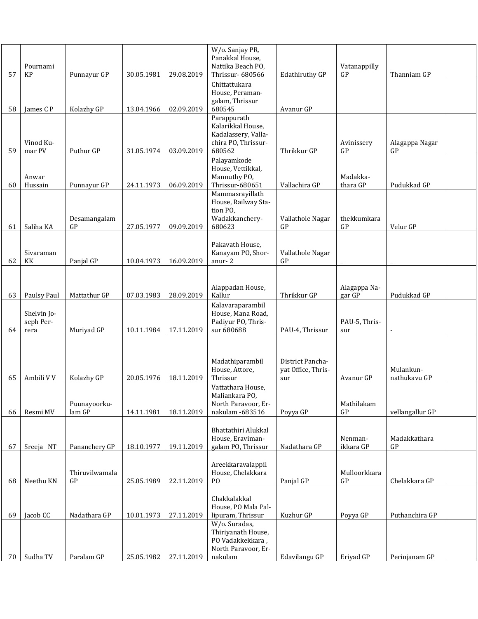| 57 | Pournami<br>KP                   | Punnayur GP                     | 30.05.1981 | 29.08.2019 | W/o. Sanjay PR,<br>Panakkal House,<br>Nattika Beach PO,<br>Thrissur-680566               | <b>Edathiruthy GP</b>                         | Vatanappilly<br>GP          | Thanniam GP               |  |
|----|----------------------------------|---------------------------------|------------|------------|------------------------------------------------------------------------------------------|-----------------------------------------------|-----------------------------|---------------------------|--|
| 58 | James C P                        | Kolazhy GP                      | 13.04.1966 | 02.09.2019 | Chittattukara<br>House, Peraman-<br>galam, Thrissur<br>680545                            | Avanur GP                                     |                             |                           |  |
| 59 | Vinod Ku-<br>mar PV              | Puthur GP                       | 31.05.1974 | 03.09.2019 | Parappurath<br>Kalarikkal House,<br>Kadalassery, Valla-<br>chira PO, Thrissur-<br>680562 | Thrikkur GP                                   | Avinissery<br>GP            | Alagappa Nagar<br>GP      |  |
| 60 | Anwar<br>Hussain                 | Punnayur GP                     | 24.11.1973 | 06.09.2019 | Palayamkode<br>House, Vettikkal,<br>Mannuthy PO,<br>Thrissur-680651                      | Vallachira GP                                 | Madakka-<br>thara GP        | Pudukkad GP               |  |
| 61 | Saliha KA                        | Desamangalam<br>GP              | 27.05.1977 | 09.09.2019 | Mammasrayillath<br>House, Railway Sta-<br>tion PO,<br>Wadakkanchery-<br>680623           | Vallathole Nagar<br>GP                        | thekkumkara<br>GP           | Velur GP                  |  |
| 62 | Sivaraman<br>KK                  | Panjal GP                       | 10.04.1973 | 16.09.2019 | Pakavath House,<br>Kanayam PO, Shor-<br>anur-2                                           | Vallathole Nagar<br>GP                        |                             |                           |  |
| 63 | Paulsy Paul                      | Mattathur GP                    | 07.03.1983 | 28.09.2019 | Alappadan House,<br>Kallur                                                               | Thrikkur GP                                   | Alagappa Na-<br>gar GP      | Pudukkad GP               |  |
| 64 | Shelvin Jo-<br>seph Per-<br>rera | Muriyad GP                      | 10.11.1984 | 17.11.2019 | Kalavaraparambil<br>House, Mana Road,<br>Padiyur PO, Thris-<br>sur 680688                | PAU-4, Thrissur                               | PAU-5, Thris-<br>sur        | $\blacksquare$            |  |
| 65 | Ambili V V                       | Kolazhy GP                      | 20.05.1976 | 18.11.2019 | Madathiparambil<br>House, Attore,<br>Thrissur                                            | District Pancha-<br>yat Office, Thris-<br>sur | Avanur GP                   | Mulankun-<br>nathukavu GP |  |
| 66 | Resmi MV                         | Puunayoorku-<br>lam GP          | 14.11.1981 | 18.11.2019 | Vattathara House,<br>Maliankara PO,<br>North Paravoor, Er-<br>nakulam -683516            | Poyya GP                                      | Mathilakam<br>$\mathsf{GP}$ | vellangallur GP           |  |
| 67 | Sreeja NT                        | Pananchery GP                   | 18.10.1977 | 19.11.2019 | Bhattathiri Alukkal<br>House, Eraviman-<br>galam PO, Thrissur                            | Nadathara GP                                  | Nenman-<br>ikkara GP        | Madakkathara<br>GP        |  |
| 68 | Neethu KN                        | Thiruvilwamala<br>$\mathsf{GP}$ | 25.05.1989 | 22.11.2019 | Areekkaravalappil<br>House, Chelakkara<br>P <sub>O</sub>                                 | Panjal GP                                     | Mulloorkkara<br>GP          | Chelakkara GP             |  |
| 69 | Jacob CC                         | Nadathara GP                    | 10.01.1973 | 27.11.2019 | Chakkalakkal<br>House, PO Mala Pal-<br>lipuram, Thrissur                                 | Kuzhur GP                                     | Poyya GP                    | Puthanchira GP            |  |
|    |                                  |                                 |            |            | W/o. Suradas,<br>Thiriyanath House,<br>PO Vadakkekkara,<br>North Paravoor, Er-           |                                               |                             |                           |  |
| 70 | Sudha TV                         | Paralam GP                      | 25.05.1982 | 27.11.2019 | nakulam                                                                                  | Edavilangu GP                                 | Eriyad GP                   | Perinjanam GP             |  |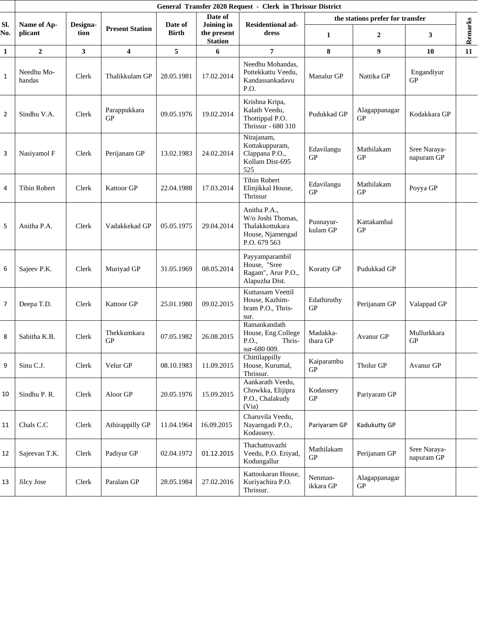|              |                        |                  |                           |                         |                                             | General Transfer 2020 Request - Clerk in Thrissur District                               |                          |                                  |                            |         |
|--------------|------------------------|------------------|---------------------------|-------------------------|---------------------------------------------|------------------------------------------------------------------------------------------|--------------------------|----------------------------------|----------------------------|---------|
|              |                        |                  |                           |                         | Date of                                     |                                                                                          |                          | the stations prefer for transfer |                            |         |
| SI.<br>No.   | Name of Ap-<br>plicant | Designa-<br>tion | <b>Present Station</b>    | Date of<br><b>Birth</b> | Joining in<br>the present<br><b>Station</b> | <b>Residentional ad-</b><br>dress                                                        | 1                        | 2                                | 3                          | Remarks |
| $\mathbf{1}$ | $\boldsymbol{2}$       | $\mathbf{3}$     | $\overline{\mathbf{4}}$   | 5                       | 6                                           | $\overline{7}$                                                                           | ${\bf 8}$                | 9                                | 10                         | 11      |
| $1\,$        | Needhu Mo-<br>handas   | Clerk            | Thalikkulam GP            | 28.05.1981              | 17.02.2014                                  | Needhu Mohandas,<br>Pottekkattu Veedu,<br>Kandassankadavu<br>P.O.                        | Manalur GP               | Nattika GP                       | Engandiyur<br>GP           |         |
| 2            | Sindhu V.A.            | Clerk            | Parappukkara<br><b>GP</b> | 09.05.1976              | 19.02.2014                                  | Krishna Kripa,<br>Kalath Veedu,<br>Thottippal P.O.<br>Thrissur - 680 310                 | Pudukkad GP              | Alagappanagar<br>GP              | Kodakkara GP               |         |
| 3            | Nasiyamol F            | Clerk            | Perijanam GP              | 13.02.1983              | 24.02.2014                                  | Nirajanam,<br>Kottakuppuram,<br>Clappana P.O.,<br>Kollam Dist-695<br>525                 | Edavilangu<br>GP         | Mathilakam<br>GP                 | Sree Naraya-<br>napuram GP |         |
| 4            | <b>Tibin Robert</b>    | Clerk            | Kattoor GP                | 22.04.1988              | 17.03.2014                                  | <b>Tibin Robert</b><br>Elinjikkal House,<br>Thrissur                                     | Edavilangu<br><b>GP</b>  | Mathilakam<br><b>GP</b>          | Poyya GP                   |         |
| 5            | Anitha P.A.            | Clerk            | Vadakkekad GP             | 05.05.1975              | 29.04.2014                                  | Anitha P.A.,<br>W/o Joshi Thomas,<br>Thalakkottukara<br>House, Njamengad<br>P.O. 679 563 | Punnayur-<br>kulam GP    | Kattakambal<br>GP                |                            |         |
| 6            | Sajeev P.K.            | Clerk            | Muriyad GP                | 31.05.1969              | 08.05.2014                                  | Payyamparambil<br>House, "Sree<br>Ragam", Arur P.O.,<br>Alapuzha Dist.                   | Koratty GP               | Pudukkad GP                      |                            |         |
| 7            | Deepa T.D.             | Clerk            | Kattoor GP                | 25.01.1980              | 09.02.2015                                  | Kuttassam Veettil<br>House, Kazhim-<br>bram P.O., Thris-<br>sur.                         | Edathiruthy<br><b>GP</b> | Perijanam GP                     | Valappad GP                |         |
| 8            | Sabitha K.B.           | Clerk            | Thekkumkara<br><b>GP</b>  | 07.05.1982              | 26.08.2015                                  | Ramankandath<br>House, Eng.College<br>P.O.,<br>Thris-<br>sur-680 009.                    | Madakka-<br>thara GP     | Avanur GP                        | Mullurkkara<br><b>GP</b>   |         |
| 9            | Sinu C.J.              | Clerk            | Velur GP                  | 08.10.1983              | 11.09.2015                                  | Chittilappilly<br>House, Kurumal,<br>Thrissur.                                           | Kaiparambu<br>GP         | Tholur GP                        | Avanur GP                  |         |
| 10           | Sindhu P. R.           | Clerk            | Aloor GP                  | 20.05.1976              | 15.09.2015                                  | Aankarath Veedu,<br>Chowkka, Elijipra<br>P.O., Chalakudy<br>(Via)                        | Kodassery<br>GP          | Pariyaram GP                     |                            |         |
| 11           | Chals C.C              | Clerk            | Athirappilly GP           | 11.04.1964              | 16.09.2015                                  | Charuvila Veedu,<br>Nayarngadi P.O.,<br>Kodassery.                                       | Pariyaram GP             | Kadukutty GP                     |                            |         |
| 12           | Sajeevan T.K.          | Clerk            | Padiyur GP                | 02.04.1972              | 01.12.2015                                  | Thachattuvazhi<br>Veedu, P.O. Eriyad,<br>Kodungallur                                     | Mathilakam<br>GP         | Perijanam GP                     | Sree Naraya-<br>napuram GP |         |
| 13           | Jilcy Jose             | Clerk            | Paralam GP                | 28.05.1984              | 27.02.2016                                  | Kattookaran House,<br>Kuriyachira P.O.<br>Thrissur.                                      | Nenman-<br>ikkara GP     | Alagappanagar<br>GP              |                            |         |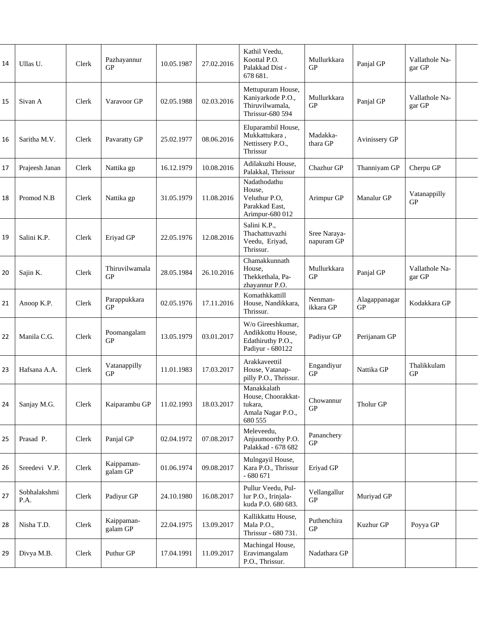| 14 | Ullas U.             | Clerk | Pazhayannur<br><b>GP</b>     | 10.05.1987 | 27.02.2016 | Kathil Veedu,<br>Koottal P.O.<br>Palakkad Dist -<br>678 681.                    | Mullurkkara<br><b>GP</b>   | Panjal GP           | Vallathole Na-<br>gar GP |  |
|----|----------------------|-------|------------------------------|------------|------------|---------------------------------------------------------------------------------|----------------------------|---------------------|--------------------------|--|
| 15 | Sivan A              | Clerk | Varavoor GP                  | 02.05.1988 | 02.03.2016 | Mettupuram House,<br>Kaniyarkode P.O.,<br>Thiruvilwamala,<br>Thrissur-680 594   | Mullurkkara<br>GP          | Panjal GP           | Vallathole Na-<br>gar GP |  |
| 16 | Saritha M.V.         | Clerk | Pavaratty GP                 | 25.02.1977 | 08.06.2016 | Eluparambil House,<br>Mukkattukara,<br>Nettissery P.O.,<br>Thrissur             | Madakka-<br>thara GP       | Avinissery GP       |                          |  |
| 17 | Prajeesh Janan       | Clerk | Nattika gp                   | 16.12.1979 | 10.08.2016 | Adilakuzhi House,<br>Palakkal, Thrissur                                         | Chazhur GP                 | Thanniyam GP        | Cherpu GP                |  |
| 18 | Promod N.B           | Clerk | Nattika gp                   | 31.05.1979 | 11.08.2016 | Nadathodathu<br>House,<br>Veluthur P.O.<br>Parakkad East,<br>Arimpur-680 012    | Arimpur GP                 | Manalur GP          | Vatanappilly<br>GP       |  |
| 19 | Salini K.P.          | Clerk | Eriyad GP                    | 22.05.1976 | 12.08.2016 | Salini K.P.,<br>Thachattuvazhi<br>Veedu, Eriyad,<br>Thrissur.                   | Sree Naraya-<br>napuram GP |                     |                          |  |
| 20 | Sajin K.             | Clerk | Thiruvilwamala<br>${\rm GP}$ | 28.05.1984 | 26.10.2016 | Chamakkunnath<br>House,<br>Thekkethala, Pa-<br>zhayannur P.O.                   | Mullurkkara<br><b>GP</b>   | Panjal GP           | Vallathole Na-<br>gar GP |  |
| 21 | Anoop K.P.           | Clerk | Parappukkara<br>GP           | 02.05.1976 | 17.11.2016 | Komathkkattill<br>House, Nandikkara,<br>Thrissur.                               | Nenman-<br>ikkara GP       | Alagappanagar<br>GP | Kodakkara GP             |  |
| 22 | Manila C.G.          | Clerk | Poomangalam<br>GP            | 13.05.1979 | 03.01.2017 | W/o Gireeshkumar,<br>Andikkottu House,<br>Edathiruthy P.O.,<br>Padiyur - 680122 | Padiyur GP                 | Perijanam GP        |                          |  |
| 23 | Hafsana A.A.         | Clerk | Vatanappilly<br>GP           | 11.01.1983 | 17.03.2017 | Arakkaveettil<br>House, Vatanap-<br>pilly P.O., Thrissur.                       | Engandiyur<br><b>GP</b>    | Nattika GP          | Thalikkulam<br>GP        |  |
| 24 | Sanjay M.G.          | Clerk | Kaiparambu GP                | 11.02.1993 | 18.03.2017 | Manakkalath<br>House, Choorakkat-<br>tukara,<br>Amala Nagar P.O.,<br>680 555    | Chowannur<br>GP            | Tholur GP           |                          |  |
| 25 | Prasad P.            | Clerk | Panjal GP                    | 02.04.1972 | 07.08.2017 | Meleveedu,<br>Anjuumoorthy P.O.<br>Palakkad - 678 682                           | Pananchery<br>GP           |                     |                          |  |
| 26 | Sreedevi V.P.        | Clerk | Kaippaman-<br>galam GP       | 01.06.1974 | 09.08.2017 | Mulngayil House,<br>Kara P.O., Thrissur<br>$-680671$                            | Eriyad GP                  |                     |                          |  |
| 27 | Sobhalakshmi<br>P.A. | Clerk | Padiyur GP                   | 24.10.1980 | 16.08.2017 | Pullur Veedu, Pul-<br>lur P.O., Irinjala-<br>kuda P.O. 680 683.                 | Vellangallur<br><b>GP</b>  | Muriyad GP          |                          |  |
| 28 | Nisha T.D.           | Clerk | Kaippaman-<br>galam GP       | 22.04.1975 | 13.09.2017 | Kallikkattu House,<br>Mala P.O.,<br>Thrissur - 680 731.                         | Puthenchira<br>GP          | Kuzhur GP           | Poyya GP                 |  |
| 29 | Divya M.B.           | Clerk | Puthur GP                    | 17.04.1991 | 11.09.2017 | Machingal House,<br>Eravimangalam<br>P.O., Thrissur.                            | Nadathara GP               |                     |                          |  |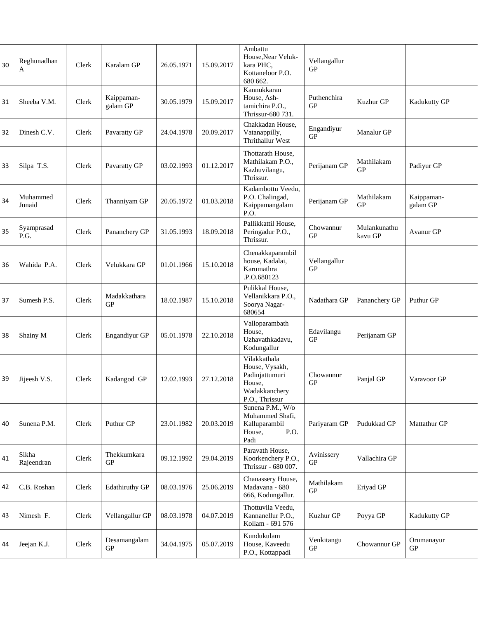| 30 | Reghunadhan<br>A    | Clerk | Karalam GP             | 26.05.1971 | 15.09.2017 | Ambattu<br>House, Near Veluk-<br>kara PHC,<br>Kottaneloor P.O.<br>680 662.                    | Vellangallur<br><b>GP</b> |                         |                          |  |
|----|---------------------|-------|------------------------|------------|------------|-----------------------------------------------------------------------------------------------|---------------------------|-------------------------|--------------------------|--|
| 31 | Sheeba V.M.         | Clerk | Kaippaman-<br>galam GP | 30.05.1979 | 15.09.2017 | Kannukkaran<br>House, Ash-<br>tamichira P.O.,<br>Thrissur-680 731.                            | Puthenchira<br>GP         | Kuzhur GP               | Kadukutty GP             |  |
| 32 | Dinesh C.V.         | Clerk | Pavaratty GP           | 24.04.1978 | 20.09.2017 | Chakkadan House,<br>Vatanappilly,<br>Thrithallur West                                         | Engandiyur<br>${\rm GP}$  | Manalur GP              |                          |  |
| 33 | Silpa T.S.          | Clerk | Pavaratty GP           | 03.02.1993 | 01.12.2017 | Thottarath House.<br>Mathilakam P.O.,<br>Kazhuvilangu,<br>Thrissur.                           | Perijanam GP              | Mathilakam<br>GP        | Padiyur GP               |  |
| 34 | Muhammed<br>Junaid  | Clerk | Thanniyam GP           | 20.05.1972 | 01.03.2018 | Kadambottu Veedu,<br>P.O. Chalingad,<br>Kaippamangalam<br>P.O.                                | Perijanam GP              | Mathilakam<br>GP        | Kaippaman-<br>galam GP   |  |
| 35 | Syamprasad<br>P.G.  | Clerk | Pananchery GP          | 31.05.1993 | 18.09.2018 | Pallikkattil House,<br>Peringadur P.O.,<br>Thrissur.                                          | Chowannur<br><b>GP</b>    | Mulankunathu<br>kavu GP | Avanur GP                |  |
| 36 | Wahida P.A.         | Clerk | Velukkara GP           | 01.01.1966 | 15.10.2018 | Chenakkaparambil<br>house, Kadalai,<br>Karumathra<br>.P.O.680123                              | Vellangallur<br>GP        |                         |                          |  |
| 37 | Sumesh P.S.         | Clerk | Madakkathara<br>GP     | 18.02.1987 | 15.10.2018 | Pulikkal House,<br>Vellanikkara P.O.,<br>Soorya Nagar-<br>680654                              | Nadathara GP              | Pananchery GP           | Puthur GP                |  |
| 38 | Shainy M            | Clerk | Engandiyur GP          | 05.01.1978 | 22.10.2018 | Valloparambath<br>House,<br>Uzhavathkadavu,<br>Kodungallur                                    | Edavilangu<br>GP          | Perijanam GP            |                          |  |
| 39 | Jijeesh V.S.        | Clerk | Kadangod GP            | 12.02.1993 | 27.12.2018 | Vilakkathala<br>House, Vysakh,<br>Padinjattumuri<br>House,<br>Wadakkancherv<br>P.O., Thrissur | Chowannur<br><b>GP</b>    | Panjal GP               | Varavoor GP              |  |
| 40 | Sunena P.M.         | Clerk | Puthur GP              | 23.01.1982 | 20.03.2019 | Sunena P.M., W/o<br>Muhammed Shafi,<br>Kalluparambil<br>House,<br>P.O.<br>Padi                | Pariyaram GP              | Pudukkad GP             | Mattathur GP             |  |
| 41 | Sikha<br>Rajeendran | Clerk | Thekkumkara<br>GP      | 09.12.1992 | 29.04.2019 | Paravath House,<br>Koorkenchery P.O.,<br>Thrissur - 680 007.                                  | Avinissery<br><b>GP</b>   | Vallachira GP           |                          |  |
| 42 | C.B. Roshan         | Clerk | Edathiruthy GP         | 08.03.1976 | 25.06.2019 | Chanassery House,<br>Madavana - 680<br>666, Kodungallur.                                      | Mathilakam<br>GP          | Eriyad GP               |                          |  |
| 43 | Nimesh F.           | Clerk | Vellangallur GP        | 08.03.1978 | 04.07.2019 | Thottuvila Veedu,<br>Kannanellur P.O.,<br>Kollam - 691 576                                    | Kuzhur GP                 | Poyya GP                | Kadukutty GP             |  |
| 44 | Jeejan K.J.         | Clerk | Desamangalam<br>GP     | 34.04.1975 | 05.07.2019 | Kundukulam<br>House, Kaveedu<br>P.O., Kottappadi                                              | Venkitangu<br>GP          | Chowannur GP            | Orumanayur<br>${\rm GP}$ |  |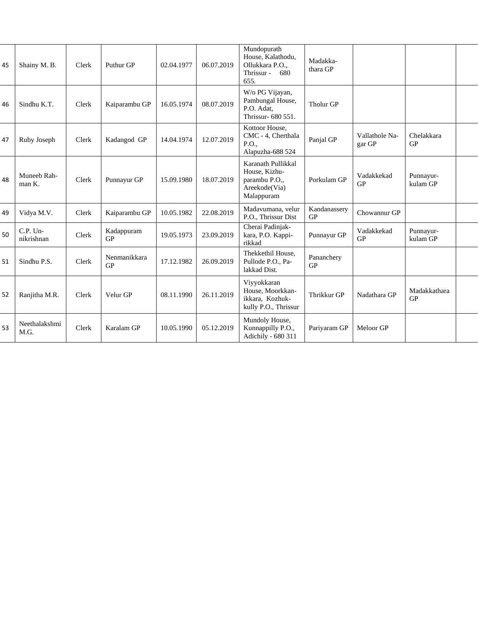| 45 | Shainy M. B.             | Clerk | Puthur GP                 | 02.04.1977 | 06.07.2019 | Mundopurath<br>House, Kalathodu,<br>Ollukkara P.O.,<br>Thrissur -<br>680<br>655.    | Madakka-<br>thara GP    |                          |                       |  |
|----|--------------------------|-------|---------------------------|------------|------------|-------------------------------------------------------------------------------------|-------------------------|--------------------------|-----------------------|--|
| 46 | Sindhu K.T.              | Clerk | Kaiparambu GP             | 16.05.1974 | 08.07.2019 | W/o PG Vijayan,<br>Pambungal House,<br>P.O. Adat,<br>Thrissur- 680 551.             | Tholur GP               |                          |                       |  |
| 47 | Ruby Joseph              | Clerk | Kadangod GP               | 14.04.1974 | 12.07.2019 | Kottoor House.<br>CMC - 4, Cherthala<br>P.O.,<br>Alapuzha-688 524                   | Panjal GP               | Vallathole Na-<br>gar GP | Chelakkara<br>GP      |  |
| 48 | Muneeb Rah-<br>man K.    | Clerk | Punnayur GP               | 15.09.1980 | 18.07.2019 | Karanath Pullikkal<br>House, Kizhu-<br>parambu P.O.,<br>Areekode(Via)<br>Malappuram | Porkulam GP             | Vadakkekad<br>GP         | Punnayur-<br>kulam GP |  |
| 49 | Vidya M.V.               | Clerk | Kaiparambu GP             | 10.05.1982 | 22.08.2019 | Madavumana, velur<br>P.O., Thrissur Dist                                            | Kandanassery<br>GP      | Chowannur GP             |                       |  |
| 50 | $C.P.$ Un-<br>nikrishnan | Clerk | Kadappuram<br><b>GP</b>   | 19.05.1973 | 23.09.2019 | Cherai Padinjak-<br>kara, P.O. Kappi-<br>rikkad                                     | Punnayur GP             | Vadakkekad<br>GP         | Punnayur-<br>kulam GP |  |
| 51 | Sindhu P.S.              | Clerk | Nenmanikkara<br><b>GP</b> | 17.12.1982 | 26.09.2019 | Thekkethil House,<br>Pullode P.O., Pa-<br>lakkad Dist.                              | Pananchery<br><b>GP</b> |                          |                       |  |
| 52 | Ranjitha M.R.            | Clerk | Velur GP                  | 08.11.1990 | 26.11.2019 | Viyyokkaran<br>House, Moorkkan-<br>ikkara, Kozhuk-<br>kully P.O., Thrissur          | Thrikkur GP             | Nadathara GP             | Madakkathara<br>GP    |  |
| 53 | Neethalakshmi<br>M.G.    | Clerk | Karalam GP                | 10.05.1990 | 05.12.2019 | Mundoly House,<br>Kunnappilly P.O.,<br>Adichily - 680 311                           | Pariyaram GP            | Meloor GP                |                       |  |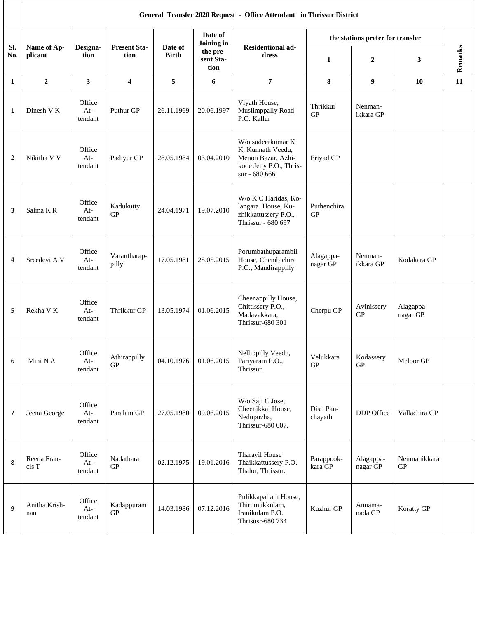|            |                        |                            |                             |                         |                               | General Transfer 2020 Request - Office Attendant in Thrissur District                                    |                           |                                  |                            |         |
|------------|------------------------|----------------------------|-----------------------------|-------------------------|-------------------------------|----------------------------------------------------------------------------------------------------------|---------------------------|----------------------------------|----------------------------|---------|
|            |                        |                            |                             |                         | Date of<br>Joining in         |                                                                                                          |                           | the stations prefer for transfer |                            |         |
| Sl.<br>No. | Name of Ap-<br>plicant | Designa-<br>tion           | <b>Present Sta-</b><br>tion | Date of<br><b>Birth</b> | the pre-<br>sent Sta-<br>tion | <b>Residentional ad-</b><br>dress                                                                        | 1                         | 2                                | 3                          | Remarks |
| 1          | $\overline{2}$         | 3                          | 4                           | 5                       | 6                             | $\overline{7}$                                                                                           | 8                         | 9                                | 10                         | 11      |
| 1          | Dinesh V K             | Office<br>At-<br>tendant   | Puthur GP                   | 26.11.1969              | 20.06.1997                    | Viyath House,<br>Muslimppally Road<br>P.O. Kallur                                                        | Thrikkur<br>GP            | Nenman-<br>ikkara GP             |                            |         |
| 2          | Nikitha V V            | Office<br>At-<br>tendant   | Padiyur GP                  | 28.05.1984              | 03.04.2010                    | W/o sudeerkumar K<br>K, Kunnath Veedu,<br>Menon Bazar, Azhi-<br>kode Jetty P.O., Thris-<br>sur - 680 666 | Eriyad GP                 |                                  |                            |         |
| 3          | Salma KR               | Office<br>At-<br>tendant   | Kadukutty<br>GP             | 24.04.1971              | 19.07.2010                    | W/o K C Haridas, Ko-<br>langara House, Ku-<br>zhikkattussery P.O.,<br>Thrissur - 680 697                 | Puthenchira<br>${\rm GP}$ |                                  |                            |         |
| 4          | Sreedevi A V           | Office<br>At-<br>tendant   | Varantharap-<br>pilly       | 17.05.1981              | 28.05.2015                    | Porumbathuparambil<br>House, Chembichira<br>P.O., Mandirappilly                                          | Alagappa-<br>nagar GP     | Nenman-<br>ikkara GP             | Kodakara GP                |         |
| 5          | Rekha V K              | Office<br>$At-$<br>tendant | Thrikkur GP                 | 13.05.1974              | 01.06.2015                    | Cheenappilly House,<br>Chittissery P.O.,<br>Madavakkara,<br>Thrissur-680 301                             | Cherpu GP                 | Avinissery<br>GP                 | Alagappa-<br>nagar GP      |         |
| 6          | Mini N A               | Office<br>At-<br>tendant   | Athirappilly<br>GP          |                         | 04.10.1976   01.06.2015       | Nellippilly Veedu,<br>Pariyaram P.O.,<br>Thrissur.                                                       | Velukkara<br>GP           | Kodassery<br>GP                  | Meloor GP                  |         |
| 7          | Jeena George           | Office<br>$At-$<br>tendant | Paralam GP                  | 27.05.1980              | 09.06.2015                    | W/o Saji C Jose,<br>Cheenikkal House,<br>Nedupuzha,<br>Thrissur-680 007.                                 | Dist. Pan-<br>chayath     | DDP Office                       | Vallachira GP              |         |
| 8          | Reena Fran-<br>cis T   | Office<br>At-<br>tendant   | Nadathara<br>GP             | 02.12.1975              | 19.01.2016                    | Tharayil House<br>Thaikkattussery P.O.<br>Thalor, Thrissur.                                              | Parappook-<br>kara GP     | Alagappa-<br>nagar GP            | Nenmanikkara<br>${\rm GP}$ |         |
| 9          | Anitha Krish-<br>nan   | Office<br>At-<br>tendant   | Kadappuram<br>GP            | 14.03.1986              | 07.12.2016                    | Pulikkapallath House,<br>Thirumukkulam,<br>Iranikulam P.O.<br><b>Thrisusr-680 734</b>                    | Kuzhur GP                 | Annama-<br>nada GP               | Koratty GP                 |         |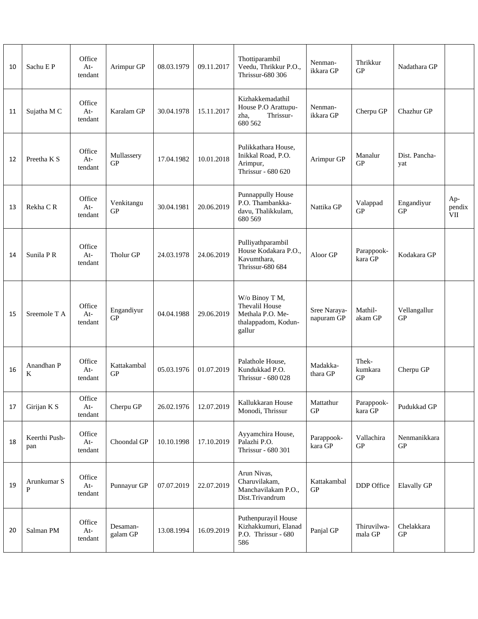| 10 | Sachu E P            | Office<br>At-<br>tendant   | Arimpur GP               | 08.03.1979 | 09.11.2017 | Thottiparambil<br>Veedu, Thrikkur P.O.,<br>Thrissur-680 306                           | Nenman-<br>ikkara GP       | Thrikkur<br>GP                 | Nadathara GP               |                      |
|----|----------------------|----------------------------|--------------------------|------------|------------|---------------------------------------------------------------------------------------|----------------------------|--------------------------------|----------------------------|----------------------|
| 11 | Sujatha M C          | Office<br>$At-$<br>tendant | Karalam GP               | 30.04.1978 | 15.11.2017 | Kizhakkemadathil<br>House P.O Arattupu-<br>Thrissur-<br>zha,<br>680 562               | Nenman-<br>ikkara GP       | Cherpu GP                      | Chazhur GP                 |                      |
| 12 | Preetha K S          | Office<br>$At-$<br>tendant | Mullassery<br>GP         | 17.04.1982 | 10.01.2018 | Pulikkathara House,<br>Inikkal Road, P.O.<br>Arimpur,<br>Thrissur - 680 620           | Arimpur GP                 | Manalur<br>GP                  | Dist. Pancha-<br>yat       |                      |
| 13 | Rekha CR             | Office<br>At-<br>tendant   | Venkitangu<br><b>GP</b>  | 30.04.1981 | 20.06.2019 | Punnappully House<br>P.O. Thambankka-<br>davu, Thalikkulam,<br>680 569                | Nattika GP                 | Valappad<br>GP                 | Engandiyur<br>GP           | Ap-<br>pendix<br>VII |
| 14 | Sunila PR            | Office<br>$At-$<br>tendant | Tholur GP                | 24.03.1978 | 24.06.2019 | Pulliyathparambil<br>House Kodakara P.O.,<br>Kavumthara,<br>Thrissur-680 684          | Aloor GP                   | Parappook-<br>kara GP          | Kodakara GP                |                      |
| 15 | Sreemole T A         | Office<br>At-<br>tendant   | Engandiyur<br>GP         | 04.04.1988 | 29.06.2019 | W/o Binoy T M,<br>Thevalil House<br>Methala P.O. Me-<br>thalappadom, Kodun-<br>gallur | Sree Naraya-<br>napuram GP | Mathil-<br>akam GP             | Vellangallur<br><b>GP</b>  |                      |
| 16 | Anandhan P<br>K      | Office<br>At-<br>tendant   | Kattakambal<br><b>GP</b> | 05.03.1976 | 01.07.2019 | Palathole House,<br>Kundukkad P.O.<br>Thrissur - 680 028                              | Madakka-<br>thara GP       | Thek-<br>kumkara<br>${\rm GP}$ | Cherpu GP                  |                      |
| 17 | Girijan K S          | Office<br>At-<br>tendant   | Cherpu GP                | 26.02.1976 | 12.07.2019 | Kallukkaran House<br>Monodi, Thrissur                                                 | Mattathur<br>${\rm GP}$    | Parappook-<br>kara GP          | Pudukkad GP                |                      |
| 18 | Keerthi Push-<br>pan | Office<br>At-<br>tendant   | Choondal GP              | 10.10.1998 | 17.10.2019 | Ayyamchira House,<br>Palazhi P.O.<br>Thrissur - 680 301                               | Parappook-<br>kara GP      | Vallachira<br>GP               | Nenmanikkara<br>${\rm GP}$ |                      |
| 19 | Arunkumar S<br>P     | Office<br>At-<br>tendant   | Punnayur GP              | 07.07.2019 | 22.07.2019 | Arun Nivas,<br>Charuvilakam,<br>Manchavilakam P.O.,<br>Dist.Trivandrum                | Kattakambal<br>GP          | DDP Office                     | Elavally GP                |                      |
| 20 | Salman PM            | Office<br>$At-$<br>tendant | Desaman-<br>galam GP     | 13.08.1994 | 16.09.2019 | Puthenpurayil House<br>Kizhakkumuri, Elanad<br>P.O. Thrissur - 680<br>586             | Panjal GP                  | Thiruvilwa-<br>mala GP         | Chelakkara<br>${\rm GP}$   |                      |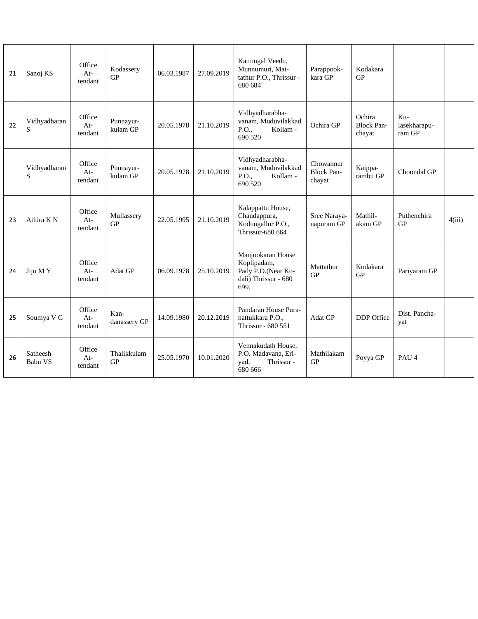| 21 | Sanoj KS              | Office<br>$At-$<br>tendant | Kodassery<br>GP          | 06.03.1987 | 27.09.2019 | Kattungal Veedu,<br>Munnumuri, Mat-<br>tathur P.O., Thrissur -<br>680 684              | Parappook-<br>kara GP                    | Kodakara<br><b>GP</b>                 |                               |        |
|----|-----------------------|----------------------------|--------------------------|------------|------------|----------------------------------------------------------------------------------------|------------------------------------------|---------------------------------------|-------------------------------|--------|
| 22 | Vidhyadharan<br>S     | Office<br>$At-$<br>tendant | Punnayur-<br>kulam GP    | 20.05.1978 | 21.10.2019 | Vidhyadharabha-<br>vanam, Muduvilakkad<br>P.O.,<br>Kollam -<br>690 520                 | Ochira GP                                | Ochira<br><b>Block Pan-</b><br>chayat | Ku-<br>lasekharapu-<br>ram GP |        |
|    | Vidhyadharan<br>S     | Office<br>At-<br>tendant   | Punnayur-<br>kulam GP    | 20.05.1978 | 21.10.2019 | Vidhyadharabha-<br>vanam, Muduvilakkad<br>P.O.,<br>Kollam -<br>690 520                 | Chowannur<br><b>Block Pan-</b><br>chayat | Kaippa-<br>rambu GP                   | Choondal GP                   |        |
| 23 | Athira K <sub>N</sub> | Office<br>$At-$<br>tendant | Mullassery<br>GP         | 22.05.1995 | 21.10.2019 | Kalappattu House,<br>Chandappura,<br>Kodungallur P.O.,<br>Thrissur-680 664             | Sree Naraya-<br>napuram GP               | Mathil-<br>akam GP                    | Puthenchira<br>GP             | 4(iii) |
| 24 | Jijo MY               | Office<br>$At-$<br>tendant | Adat GP                  | 06.09.1978 | 25.10.2019 | Manjookaran House<br>Koplipadam,<br>Pady P.O.(Near Ko-<br>dali) Thrissur - 680<br>699. | Mattathur<br>GP                          | Kodakara<br>GP                        | Pariyaram GP                  |        |
| 25 | Soumya V G            | Office<br>$At-$<br>tendant | Kan-<br>danassery GP     | 14.09.1980 | 20.12.2019 | Pandaran House Pura-<br>nattukkara P.O.,<br>Thrissur - 680 551                         | Adat GP                                  | DDP Office                            | Dist. Pancha-<br>yat          |        |
| 26 | Satheesh<br>Babu VS   | Office<br>$At-$<br>tendant | Thalikkulam<br><b>GP</b> | 25.05.1970 | 10.01.2020 | Vennakudath House,<br>P.O. Madavana, Eri-<br>yad,<br>Thrissur -<br>680 666             | Mathilakam<br><b>GP</b>                  | Poyya GP                              | PAU <sub>4</sub>              |        |